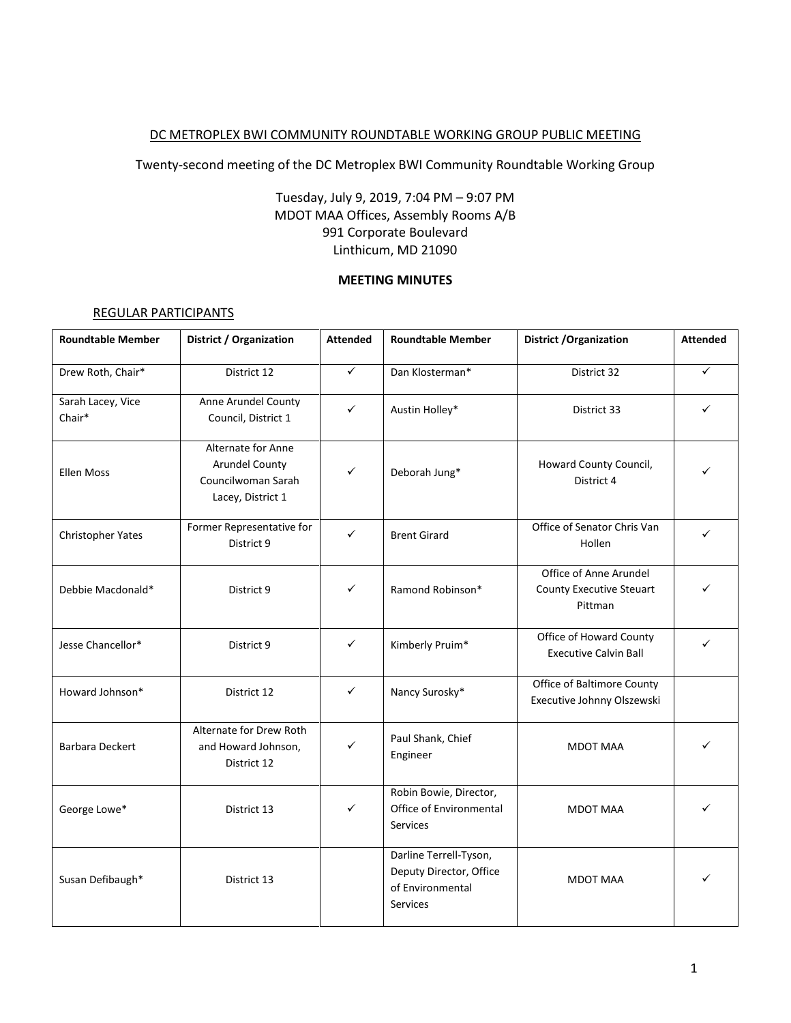#### DC METROPLEX BWI COMMUNITY ROUNDTABLE WORKING GROUP PUBLIC MEETING

Twenty-second meeting of the DC Metroplex BWI Community Roundtable Working Group

## Tuesday, July 9, 2019, 7:04 PM – 9:07 PM MDOT MAA Offices, Assembly Rooms A/B 991 Corporate Boulevard Linthicum, MD 21090

## **MEETING MINUTES**

#### REGULAR PARTICIPANTS

| <b>Roundtable Member</b>    | <b>District / Organization</b>                                                  | <b>Attended</b> | <b>Roundtable Member</b>                                                          | <b>District / Organization</b>                                       | <b>Attended</b> |
|-----------------------------|---------------------------------------------------------------------------------|-----------------|-----------------------------------------------------------------------------------|----------------------------------------------------------------------|-----------------|
| Drew Roth, Chair*           | District 12                                                                     | $\checkmark$    | Dan Klosterman*                                                                   | District 32                                                          | $\checkmark$    |
| Sarah Lacey, Vice<br>Chair* | Anne Arundel County<br>Council, District 1                                      | $\checkmark$    | Austin Holley*                                                                    | District 33                                                          | ✓               |
| <b>Ellen Moss</b>           | Alternate for Anne<br>Arundel County<br>Councilwoman Sarah<br>Lacey, District 1 | ✓               | Deborah Jung*                                                                     | Howard County Council,<br>District 4                                 |                 |
| Christopher Yates           | Former Representative for<br>District 9                                         | ✓               | <b>Brent Girard</b>                                                               | Office of Senator Chris Van<br>Hollen                                |                 |
| Debbie Macdonald*           | District 9                                                                      | ✓               | Ramond Robinson*                                                                  | Office of Anne Arundel<br><b>County Executive Steuart</b><br>Pittman |                 |
| Jesse Chancellor*           | District 9                                                                      | $\checkmark$    | Kimberly Pruim*                                                                   | Office of Howard County<br><b>Executive Calvin Ball</b>              | ✓               |
| Howard Johnson*             | District 12                                                                     | $\checkmark$    | Nancy Surosky*                                                                    | Office of Baltimore County<br>Executive Johnny Olszewski             |                 |
| Barbara Deckert             | Alternate for Drew Roth<br>and Howard Johnson,<br>District 12                   | ✓               | Paul Shank, Chief<br>Engineer                                                     | <b>MDOT MAA</b>                                                      | ✓               |
| George Lowe*                | District 13                                                                     | $\checkmark$    | Robin Bowie, Director,<br>Office of Environmental<br><b>Services</b>              | <b>MDOT MAA</b>                                                      |                 |
| Susan Defibaugh*            | District 13                                                                     |                 | Darline Terrell-Tyson,<br>Deputy Director, Office<br>of Environmental<br>Services | <b>MDOT MAA</b>                                                      |                 |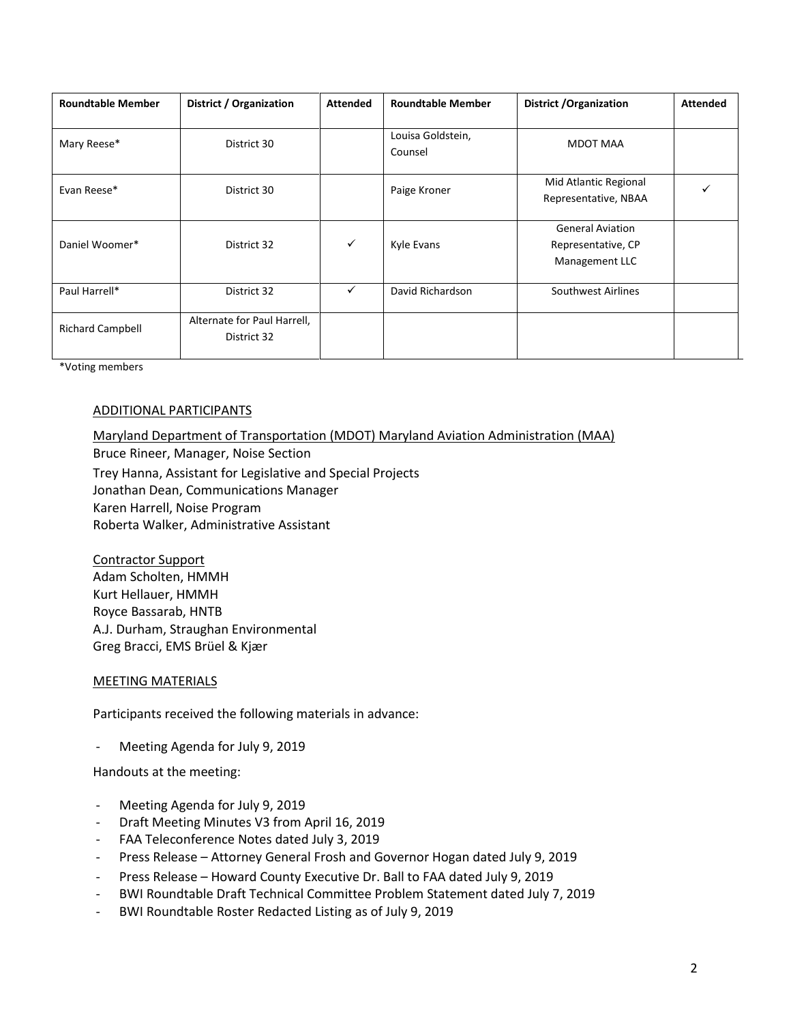| <b>Roundtable Member</b> | District / Organization                    | <b>Attended</b> | <b>Roundtable Member</b>     | <b>District / Organization</b>                                  | <b>Attended</b> |
|--------------------------|--------------------------------------------|-----------------|------------------------------|-----------------------------------------------------------------|-----------------|
| Mary Reese*              | District 30                                |                 | Louisa Goldstein,<br>Counsel | MDOT MAA                                                        |                 |
| Evan Reese*              | District 30                                |                 | Paige Kroner                 | Mid Atlantic Regional<br>Representative, NBAA                   |                 |
| Daniel Woomer*           | District 32                                | ✓               | Kyle Evans                   | <b>General Aviation</b><br>Representative, CP<br>Management LLC |                 |
| Paul Harrell*            | District 32                                | ✓               | David Richardson             | Southwest Airlines                                              |                 |
| <b>Richard Campbell</b>  | Alternate for Paul Harrell,<br>District 32 |                 |                              |                                                                 |                 |

\*Voting members

#### ADDITIONAL PARTICIPANTS

# Maryland Department of Transportation (MDOT) Maryland Aviation Administration (MAA) Bruce Rineer, Manager, Noise Section Trey Hanna, Assistant for Legislative and Special Projects Jonathan Dean, Communications Manager Karen Harrell, Noise Program

Roberta Walker, Administrative Assistant

Contractor Support Adam Scholten, HMMH Kurt Hellauer, HMMH Royce Bassarab, HNTB A.J. Durham, Straughan Environmental Greg Bracci, EMS Brüel & Kjær

#### MEETING MATERIALS

Participants received the following materials in advance:

- Meeting Agenda for July 9, 2019

Handouts at the meeting:

- Meeting Agenda for July 9, 2019
- Draft Meeting Minutes V3 from April 16, 2019
- FAA Teleconference Notes dated July 3, 2019
- Press Release Attorney General Frosh and Governor Hogan dated July 9, 2019
- Press Release Howard County Executive Dr. Ball to FAA dated July 9, 2019
- BWI Roundtable Draft Technical Committee Problem Statement dated July 7, 2019
- BWI Roundtable Roster Redacted Listing as of July 9, 2019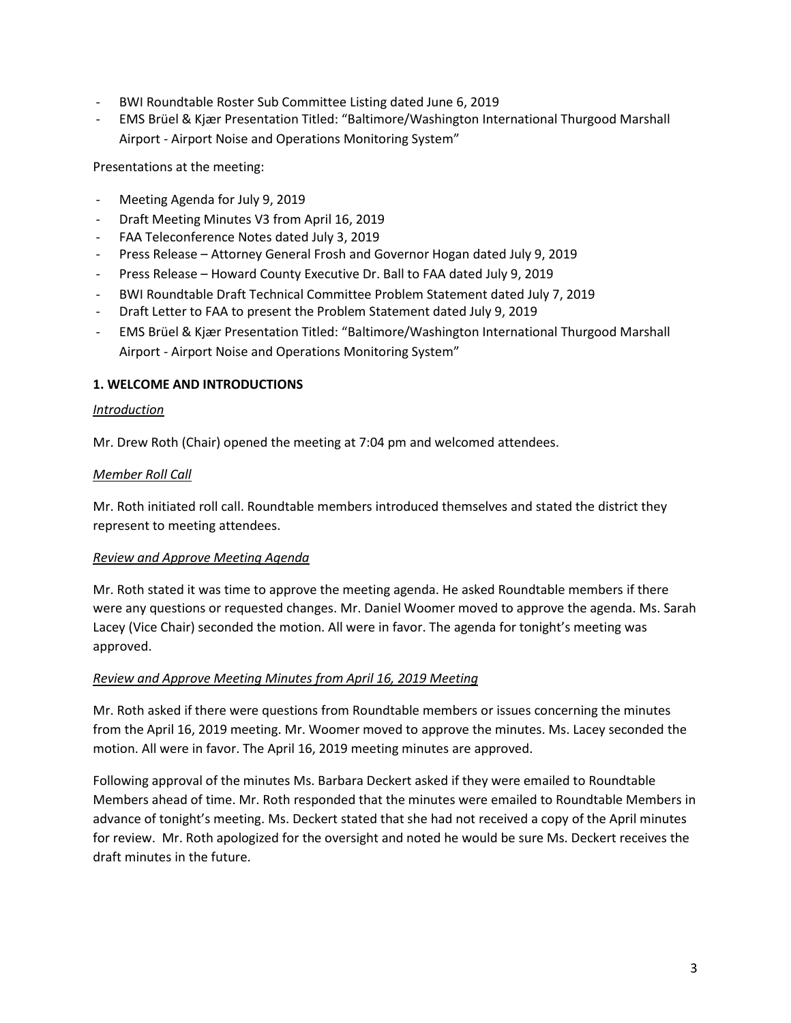- BWI Roundtable Roster Sub Committee Listing dated June 6, 2019
- EMS Brüel & Kjær Presentation Titled: "Baltimore/Washington International Thurgood Marshall Airport - Airport Noise and Operations Monitoring System"

Presentations at the meeting:

- Meeting Agenda for July 9, 2019
- Draft Meeting Minutes V3 from April 16, 2019
- FAA Teleconference Notes dated July 3, 2019
- Press Release Attorney General Frosh and Governor Hogan dated July 9, 2019
- Press Release Howard County Executive Dr. Ball to FAA dated July 9, 2019
- BWI Roundtable Draft Technical Committee Problem Statement dated July 7, 2019
- Draft Letter to FAA to present the Problem Statement dated July 9, 2019
- EMS Brüel & Kjær Presentation Titled: "Baltimore/Washington International Thurgood Marshall Airport - Airport Noise and Operations Monitoring System"

## **1. WELCOME AND INTRODUCTIONS**

#### *Introduction*

Mr. Drew Roth (Chair) opened the meeting at 7:04 pm and welcomed attendees.

#### *Member Roll Call*

Mr. Roth initiated roll call. Roundtable members introduced themselves and stated the district they represent to meeting attendees.

#### *Review and Approve Meeting Agenda*

Mr. Roth stated it was time to approve the meeting agenda. He asked Roundtable members if there were any questions or requested changes. Mr. Daniel Woomer moved to approve the agenda. Ms. Sarah Lacey (Vice Chair) seconded the motion. All were in favor. The agenda for tonight's meeting was approved.

#### *Review and Approve Meeting Minutes from April 16, 2019 Meeting*

Mr. Roth asked if there were questions from Roundtable members or issues concerning the minutes from the April 16, 2019 meeting. Mr. Woomer moved to approve the minutes. Ms. Lacey seconded the motion. All were in favor. The April 16, 2019 meeting minutes are approved.

Following approval of the minutes Ms. Barbara Deckert asked if they were emailed to Roundtable Members ahead of time. Mr. Roth responded that the minutes were emailed to Roundtable Members in advance of tonight's meeting. Ms. Deckert stated that she had not received a copy of the April minutes for review. Mr. Roth apologized for the oversight and noted he would be sure Ms. Deckert receives the draft minutes in the future.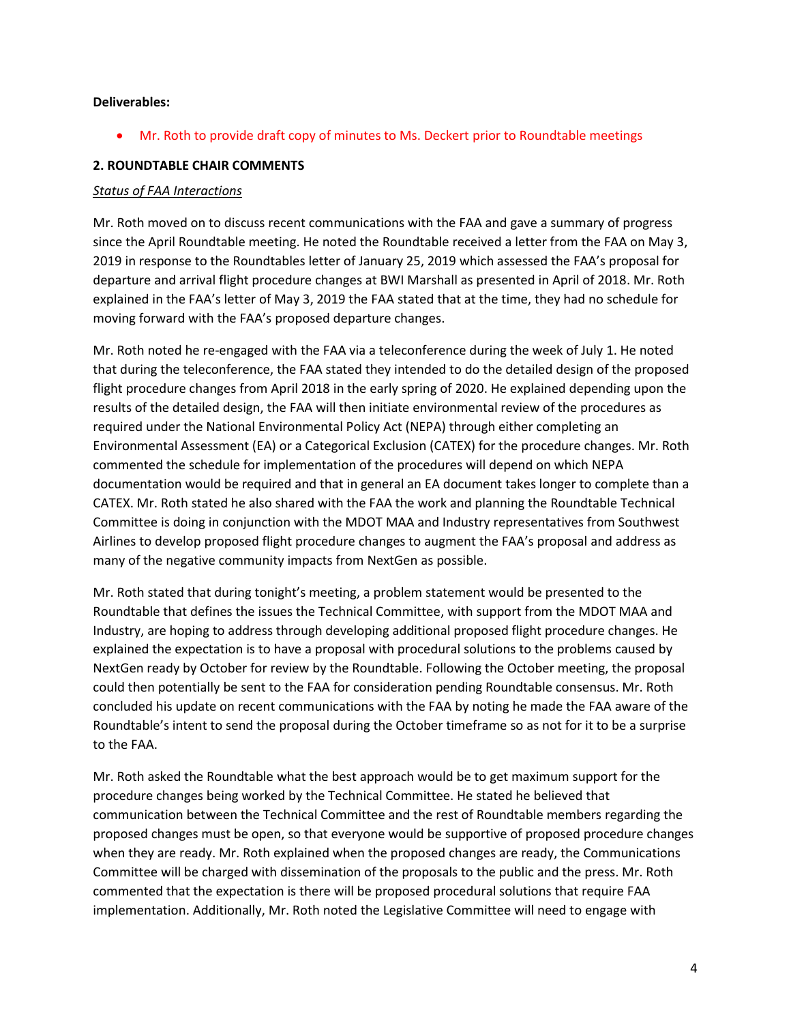#### **Deliverables:**

Mr. Roth to provide draft copy of minutes to Ms. Deckert prior to Roundtable meetings

### **2. ROUNDTABLE CHAIR COMMENTS**

#### *Status of FAA Interactions*

Mr. Roth moved on to discuss recent communications with the FAA and gave a summary of progress since the April Roundtable meeting. He noted the Roundtable received a letter from the FAA on May 3, 2019 in response to the Roundtables letter of January 25, 2019 which assessed the FAA's proposal for departure and arrival flight procedure changes at BWI Marshall as presented in April of 2018. Mr. Roth explained in the FAA's letter of May 3, 2019 the FAA stated that at the time, they had no schedule for moving forward with the FAA's proposed departure changes.

Mr. Roth noted he re-engaged with the FAA via a teleconference during the week of July 1. He noted that during the teleconference, the FAA stated they intended to do the detailed design of the proposed flight procedure changes from April 2018 in the early spring of 2020. He explained depending upon the results of the detailed design, the FAA will then initiate environmental review of the procedures as required under the National Environmental Policy Act (NEPA) through either completing an Environmental Assessment (EA) or a Categorical Exclusion (CATEX) for the procedure changes. Mr. Roth commented the schedule for implementation of the procedures will depend on which NEPA documentation would be required and that in general an EA document takes longer to complete than a CATEX. Mr. Roth stated he also shared with the FAA the work and planning the Roundtable Technical Committee is doing in conjunction with the MDOT MAA and Industry representatives from Southwest Airlines to develop proposed flight procedure changes to augment the FAA's proposal and address as many of the negative community impacts from NextGen as possible.

Mr. Roth stated that during tonight's meeting, a problem statement would be presented to the Roundtable that defines the issues the Technical Committee, with support from the MDOT MAA and Industry, are hoping to address through developing additional proposed flight procedure changes. He explained the expectation is to have a proposal with procedural solutions to the problems caused by NextGen ready by October for review by the Roundtable. Following the October meeting, the proposal could then potentially be sent to the FAA for consideration pending Roundtable consensus. Mr. Roth concluded his update on recent communications with the FAA by noting he made the FAA aware of the Roundtable's intent to send the proposal during the October timeframe so as not for it to be a surprise to the FAA.

Mr. Roth asked the Roundtable what the best approach would be to get maximum support for the procedure changes being worked by the Technical Committee. He stated he believed that communication between the Technical Committee and the rest of Roundtable members regarding the proposed changes must be open, so that everyone would be supportive of proposed procedure changes when they are ready. Mr. Roth explained when the proposed changes are ready, the Communications Committee will be charged with dissemination of the proposals to the public and the press. Mr. Roth commented that the expectation is there will be proposed procedural solutions that require FAA implementation. Additionally, Mr. Roth noted the Legislative Committee will need to engage with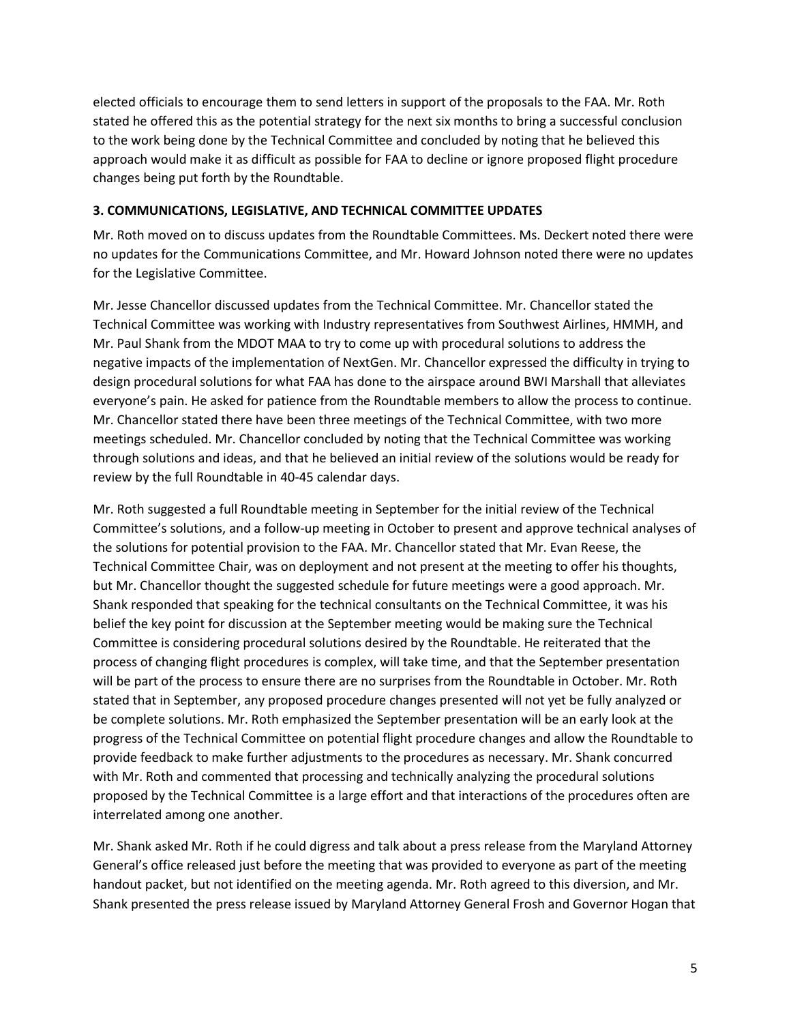elected officials to encourage them to send letters in support of the proposals to the FAA. Mr. Roth stated he offered this as the potential strategy for the next six months to bring a successful conclusion to the work being done by the Technical Committee and concluded by noting that he believed this approach would make it as difficult as possible for FAA to decline or ignore proposed flight procedure changes being put forth by the Roundtable.

### **3. COMMUNICATIONS, LEGISLATIVE, AND TECHNICAL COMMITTEE UPDATES**

Mr. Roth moved on to discuss updates from the Roundtable Committees. Ms. Deckert noted there were no updates for the Communications Committee, and Mr. Howard Johnson noted there were no updates for the Legislative Committee.

Mr. Jesse Chancellor discussed updates from the Technical Committee. Mr. Chancellor stated the Technical Committee was working with Industry representatives from Southwest Airlines, HMMH, and Mr. Paul Shank from the MDOT MAA to try to come up with procedural solutions to address the negative impacts of the implementation of NextGen. Mr. Chancellor expressed the difficulty in trying to design procedural solutions for what FAA has done to the airspace around BWI Marshall that alleviates everyone's pain. He asked for patience from the Roundtable members to allow the process to continue. Mr. Chancellor stated there have been three meetings of the Technical Committee, with two more meetings scheduled. Mr. Chancellor concluded by noting that the Technical Committee was working through solutions and ideas, and that he believed an initial review of the solutions would be ready for review by the full Roundtable in 40-45 calendar days.

Mr. Roth suggested a full Roundtable meeting in September for the initial review of the Technical Committee's solutions, and a follow-up meeting in October to present and approve technical analyses of the solutions for potential provision to the FAA. Mr. Chancellor stated that Mr. Evan Reese, the Technical Committee Chair, was on deployment and not present at the meeting to offer his thoughts, but Mr. Chancellor thought the suggested schedule for future meetings were a good approach. Mr. Shank responded that speaking for the technical consultants on the Technical Committee, it was his belief the key point for discussion at the September meeting would be making sure the Technical Committee is considering procedural solutions desired by the Roundtable. He reiterated that the process of changing flight procedures is complex, will take time, and that the September presentation will be part of the process to ensure there are no surprises from the Roundtable in October. Mr. Roth stated that in September, any proposed procedure changes presented will not yet be fully analyzed or be complete solutions. Mr. Roth emphasized the September presentation will be an early look at the progress of the Technical Committee on potential flight procedure changes and allow the Roundtable to provide feedback to make further adjustments to the procedures as necessary. Mr. Shank concurred with Mr. Roth and commented that processing and technically analyzing the procedural solutions proposed by the Technical Committee is a large effort and that interactions of the procedures often are interrelated among one another.

Mr. Shank asked Mr. Roth if he could digress and talk about a press release from the Maryland Attorney General's office released just before the meeting that was provided to everyone as part of the meeting handout packet, but not identified on the meeting agenda. Mr. Roth agreed to this diversion, and Mr. Shank presented the press release issued by Maryland Attorney General Frosh and Governor Hogan that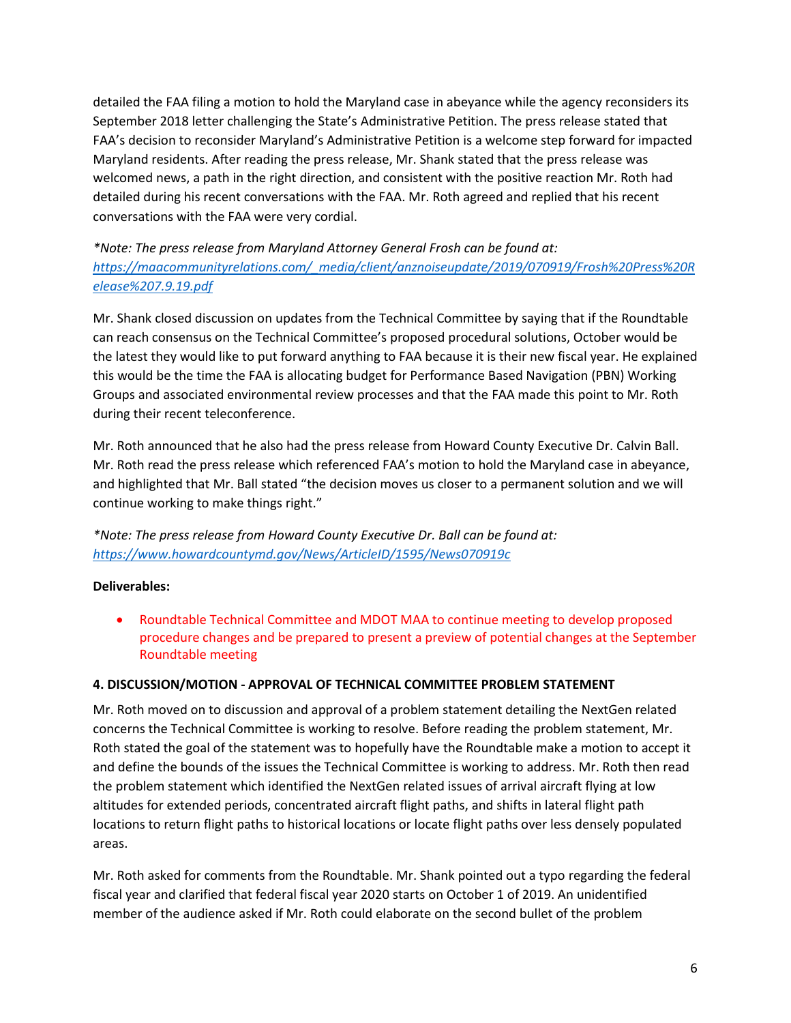detailed the FAA filing a motion to hold the Maryland case in abeyance while the agency reconsiders its September 2018 letter challenging the State's Administrative Petition. The press release stated that FAA's decision to reconsider Maryland's Administrative Petition is a welcome step forward for impacted Maryland residents. After reading the press release, Mr. Shank stated that the press release was welcomed news, a path in the right direction, and consistent with the positive reaction Mr. Roth had detailed during his recent conversations with the FAA. Mr. Roth agreed and replied that his recent conversations with the FAA were very cordial.

*\*Note: The press release from Maryland Attorney General Frosh can be found at: [https://maacommunityrelations.com/\\_media/client/anznoiseupdate/2019/070919/Frosh%20Press%20R](https://maacommunityrelations.com/_media/client/anznoiseupdate/2019/070919/Frosh%20Press%20Release%207.9.19.pdf) [elease%207.9.19.pdf](https://maacommunityrelations.com/_media/client/anznoiseupdate/2019/070919/Frosh%20Press%20Release%207.9.19.pdf)*

Mr. Shank closed discussion on updates from the Technical Committee by saying that if the Roundtable can reach consensus on the Technical Committee's proposed procedural solutions, October would be the latest they would like to put forward anything to FAA because it is their new fiscal year. He explained this would be the time the FAA is allocating budget for Performance Based Navigation (PBN) Working Groups and associated environmental review processes and that the FAA made this point to Mr. Roth during their recent teleconference.

Mr. Roth announced that he also had the press release from Howard County Executive Dr. Calvin Ball. Mr. Roth read the press release which referenced FAA's motion to hold the Maryland case in abeyance, and highlighted that Mr. Ball stated "the decision moves us closer to a permanent solution and we will continue working to make things right."

*\*Note: The press release from Howard County Executive Dr. Ball can be found at: <https://www.howardcountymd.gov/News/ArticleID/1595/News070919c>*

# **Deliverables:**

 Roundtable Technical Committee and MDOT MAA to continue meeting to develop proposed procedure changes and be prepared to present a preview of potential changes at the September Roundtable meeting

#### **4. DISCUSSION/MOTION - APPROVAL OF TECHNICAL COMMITTEE PROBLEM STATEMENT**

Mr. Roth moved on to discussion and approval of a problem statement detailing the NextGen related concerns the Technical Committee is working to resolve. Before reading the problem statement, Mr. Roth stated the goal of the statement was to hopefully have the Roundtable make a motion to accept it and define the bounds of the issues the Technical Committee is working to address. Mr. Roth then read the problem statement which identified the NextGen related issues of arrival aircraft flying at low altitudes for extended periods, concentrated aircraft flight paths, and shifts in lateral flight path locations to return flight paths to historical locations or locate flight paths over less densely populated areas.

Mr. Roth asked for comments from the Roundtable. Mr. Shank pointed out a typo regarding the federal fiscal year and clarified that federal fiscal year 2020 starts on October 1 of 2019. An unidentified member of the audience asked if Mr. Roth could elaborate on the second bullet of the problem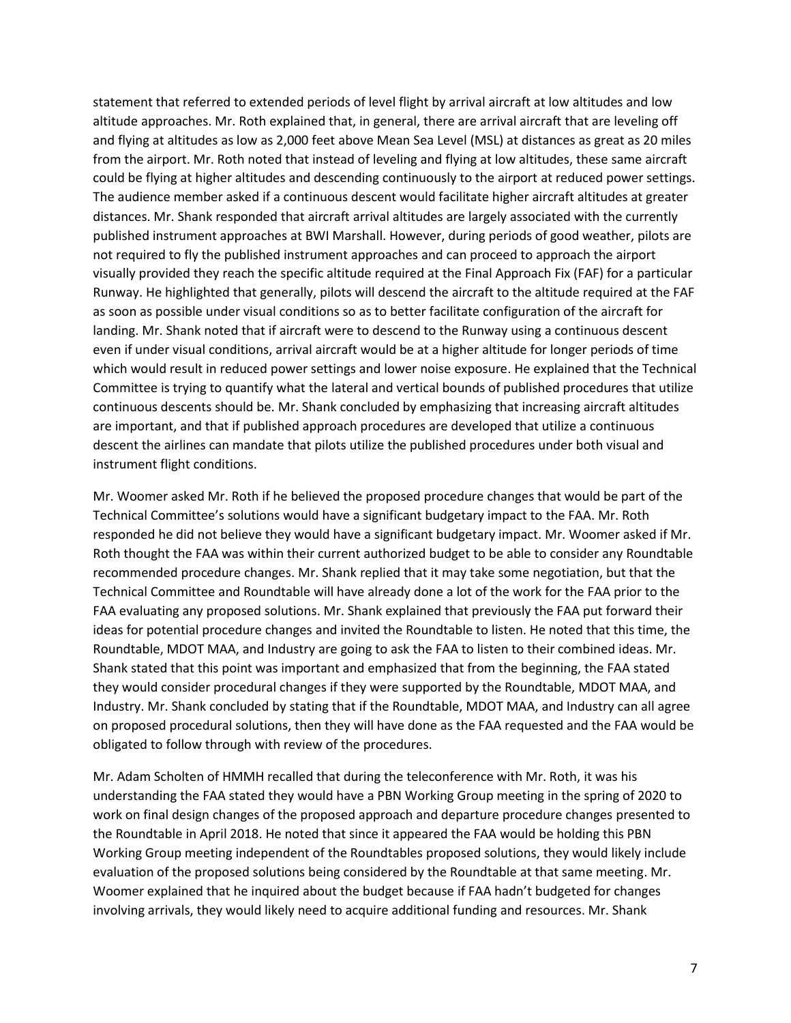statement that referred to extended periods of level flight by arrival aircraft at low altitudes and low altitude approaches. Mr. Roth explained that, in general, there are arrival aircraft that are leveling off and flying at altitudes as low as 2,000 feet above Mean Sea Level (MSL) at distances as great as 20 miles from the airport. Mr. Roth noted that instead of leveling and flying at low altitudes, these same aircraft could be flying at higher altitudes and descending continuously to the airport at reduced power settings. The audience member asked if a continuous descent would facilitate higher aircraft altitudes at greater distances. Mr. Shank responded that aircraft arrival altitudes are largely associated with the currently published instrument approaches at BWI Marshall. However, during periods of good weather, pilots are not required to fly the published instrument approaches and can proceed to approach the airport visually provided they reach the specific altitude required at the Final Approach Fix (FAF) for a particular Runway. He highlighted that generally, pilots will descend the aircraft to the altitude required at the FAF as soon as possible under visual conditions so as to better facilitate configuration of the aircraft for landing. Mr. Shank noted that if aircraft were to descend to the Runway using a continuous descent even if under visual conditions, arrival aircraft would be at a higher altitude for longer periods of time which would result in reduced power settings and lower noise exposure. He explained that the Technical Committee is trying to quantify what the lateral and vertical bounds of published procedures that utilize continuous descents should be. Mr. Shank concluded by emphasizing that increasing aircraft altitudes are important, and that if published approach procedures are developed that utilize a continuous descent the airlines can mandate that pilots utilize the published procedures under both visual and instrument flight conditions.

Mr. Woomer asked Mr. Roth if he believed the proposed procedure changes that would be part of the Technical Committee's solutions would have a significant budgetary impact to the FAA. Mr. Roth responded he did not believe they would have a significant budgetary impact. Mr. Woomer asked if Mr. Roth thought the FAA was within their current authorized budget to be able to consider any Roundtable recommended procedure changes. Mr. Shank replied that it may take some negotiation, but that the Technical Committee and Roundtable will have already done a lot of the work for the FAA prior to the FAA evaluating any proposed solutions. Mr. Shank explained that previously the FAA put forward their ideas for potential procedure changes and invited the Roundtable to listen. He noted that this time, the Roundtable, MDOT MAA, and Industry are going to ask the FAA to listen to their combined ideas. Mr. Shank stated that this point was important and emphasized that from the beginning, the FAA stated they would consider procedural changes if they were supported by the Roundtable, MDOT MAA, and Industry. Mr. Shank concluded by stating that if the Roundtable, MDOT MAA, and Industry can all agree on proposed procedural solutions, then they will have done as the FAA requested and the FAA would be obligated to follow through with review of the procedures.

Mr. Adam Scholten of HMMH recalled that during the teleconference with Mr. Roth, it was his understanding the FAA stated they would have a PBN Working Group meeting in the spring of 2020 to work on final design changes of the proposed approach and departure procedure changes presented to the Roundtable in April 2018. He noted that since it appeared the FAA would be holding this PBN Working Group meeting independent of the Roundtables proposed solutions, they would likely include evaluation of the proposed solutions being considered by the Roundtable at that same meeting. Mr. Woomer explained that he inquired about the budget because if FAA hadn't budgeted for changes involving arrivals, they would likely need to acquire additional funding and resources. Mr. Shank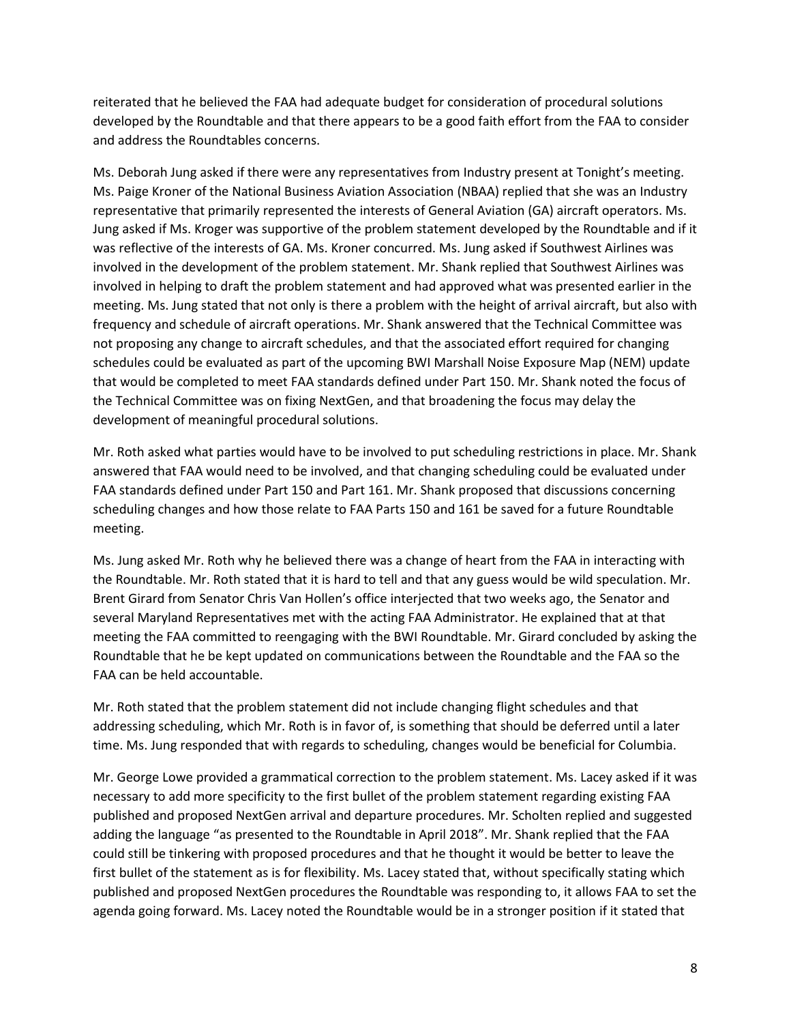reiterated that he believed the FAA had adequate budget for consideration of procedural solutions developed by the Roundtable and that there appears to be a good faith effort from the FAA to consider and address the Roundtables concerns.

Ms. Deborah Jung asked if there were any representatives from Industry present at Tonight's meeting. Ms. Paige Kroner of the National Business Aviation Association (NBAA) replied that she was an Industry representative that primarily represented the interests of General Aviation (GA) aircraft operators. Ms. Jung asked if Ms. Kroger was supportive of the problem statement developed by the Roundtable and if it was reflective of the interests of GA. Ms. Kroner concurred. Ms. Jung asked if Southwest Airlines was involved in the development of the problem statement. Mr. Shank replied that Southwest Airlines was involved in helping to draft the problem statement and had approved what was presented earlier in the meeting. Ms. Jung stated that not only is there a problem with the height of arrival aircraft, but also with frequency and schedule of aircraft operations. Mr. Shank answered that the Technical Committee was not proposing any change to aircraft schedules, and that the associated effort required for changing schedules could be evaluated as part of the upcoming BWI Marshall Noise Exposure Map (NEM) update that would be completed to meet FAA standards defined under Part 150. Mr. Shank noted the focus of the Technical Committee was on fixing NextGen, and that broadening the focus may delay the development of meaningful procedural solutions.

Mr. Roth asked what parties would have to be involved to put scheduling restrictions in place. Mr. Shank answered that FAA would need to be involved, and that changing scheduling could be evaluated under FAA standards defined under Part 150 and Part 161. Mr. Shank proposed that discussions concerning scheduling changes and how those relate to FAA Parts 150 and 161 be saved for a future Roundtable meeting.

Ms. Jung asked Mr. Roth why he believed there was a change of heart from the FAA in interacting with the Roundtable. Mr. Roth stated that it is hard to tell and that any guess would be wild speculation. Mr. Brent Girard from Senator Chris Van Hollen's office interjected that two weeks ago, the Senator and several Maryland Representatives met with the acting FAA Administrator. He explained that at that meeting the FAA committed to reengaging with the BWI Roundtable. Mr. Girard concluded by asking the Roundtable that he be kept updated on communications between the Roundtable and the FAA so the FAA can be held accountable.

Mr. Roth stated that the problem statement did not include changing flight schedules and that addressing scheduling, which Mr. Roth is in favor of, is something that should be deferred until a later time. Ms. Jung responded that with regards to scheduling, changes would be beneficial for Columbia.

Mr. George Lowe provided a grammatical correction to the problem statement. Ms. Lacey asked if it was necessary to add more specificity to the first bullet of the problem statement regarding existing FAA published and proposed NextGen arrival and departure procedures. Mr. Scholten replied and suggested adding the language "as presented to the Roundtable in April 2018". Mr. Shank replied that the FAA could still be tinkering with proposed procedures and that he thought it would be better to leave the first bullet of the statement as is for flexibility. Ms. Lacey stated that, without specifically stating which published and proposed NextGen procedures the Roundtable was responding to, it allows FAA to set the agenda going forward. Ms. Lacey noted the Roundtable would be in a stronger position if it stated that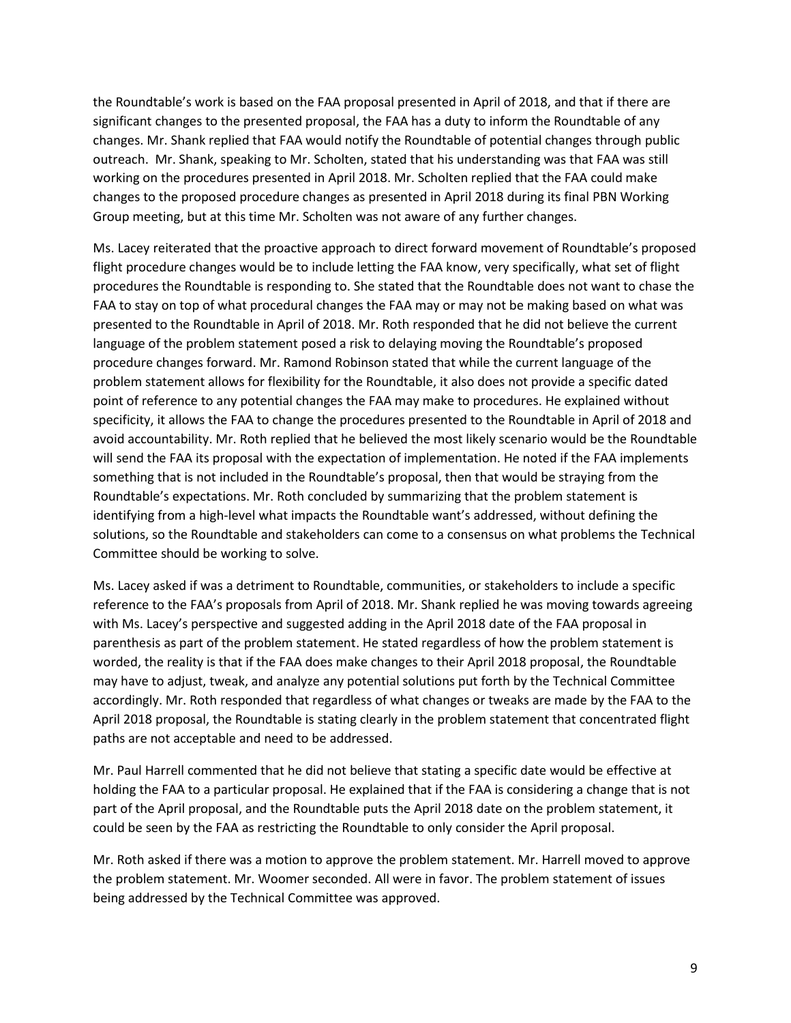the Roundtable's work is based on the FAA proposal presented in April of 2018, and that if there are significant changes to the presented proposal, the FAA has a duty to inform the Roundtable of any changes. Mr. Shank replied that FAA would notify the Roundtable of potential changes through public outreach. Mr. Shank, speaking to Mr. Scholten, stated that his understanding was that FAA was still working on the procedures presented in April 2018. Mr. Scholten replied that the FAA could make changes to the proposed procedure changes as presented in April 2018 during its final PBN Working Group meeting, but at this time Mr. Scholten was not aware of any further changes.

Ms. Lacey reiterated that the proactive approach to direct forward movement of Roundtable's proposed flight procedure changes would be to include letting the FAA know, very specifically, what set of flight procedures the Roundtable is responding to. She stated that the Roundtable does not want to chase the FAA to stay on top of what procedural changes the FAA may or may not be making based on what was presented to the Roundtable in April of 2018. Mr. Roth responded that he did not believe the current language of the problem statement posed a risk to delaying moving the Roundtable's proposed procedure changes forward. Mr. Ramond Robinson stated that while the current language of the problem statement allows for flexibility for the Roundtable, it also does not provide a specific dated point of reference to any potential changes the FAA may make to procedures. He explained without specificity, it allows the FAA to change the procedures presented to the Roundtable in April of 2018 and avoid accountability. Mr. Roth replied that he believed the most likely scenario would be the Roundtable will send the FAA its proposal with the expectation of implementation. He noted if the FAA implements something that is not included in the Roundtable's proposal, then that would be straying from the Roundtable's expectations. Mr. Roth concluded by summarizing that the problem statement is identifying from a high-level what impacts the Roundtable want's addressed, without defining the solutions, so the Roundtable and stakeholders can come to a consensus on what problems the Technical Committee should be working to solve.

Ms. Lacey asked if was a detriment to Roundtable, communities, or stakeholders to include a specific reference to the FAA's proposals from April of 2018. Mr. Shank replied he was moving towards agreeing with Ms. Lacey's perspective and suggested adding in the April 2018 date of the FAA proposal in parenthesis as part of the problem statement. He stated regardless of how the problem statement is worded, the reality is that if the FAA does make changes to their April 2018 proposal, the Roundtable may have to adjust, tweak, and analyze any potential solutions put forth by the Technical Committee accordingly. Mr. Roth responded that regardless of what changes or tweaks are made by the FAA to the April 2018 proposal, the Roundtable is stating clearly in the problem statement that concentrated flight paths are not acceptable and need to be addressed.

Mr. Paul Harrell commented that he did not believe that stating a specific date would be effective at holding the FAA to a particular proposal. He explained that if the FAA is considering a change that is not part of the April proposal, and the Roundtable puts the April 2018 date on the problem statement, it could be seen by the FAA as restricting the Roundtable to only consider the April proposal.

Mr. Roth asked if there was a motion to approve the problem statement. Mr. Harrell moved to approve the problem statement. Mr. Woomer seconded. All were in favor. The problem statement of issues being addressed by the Technical Committee was approved.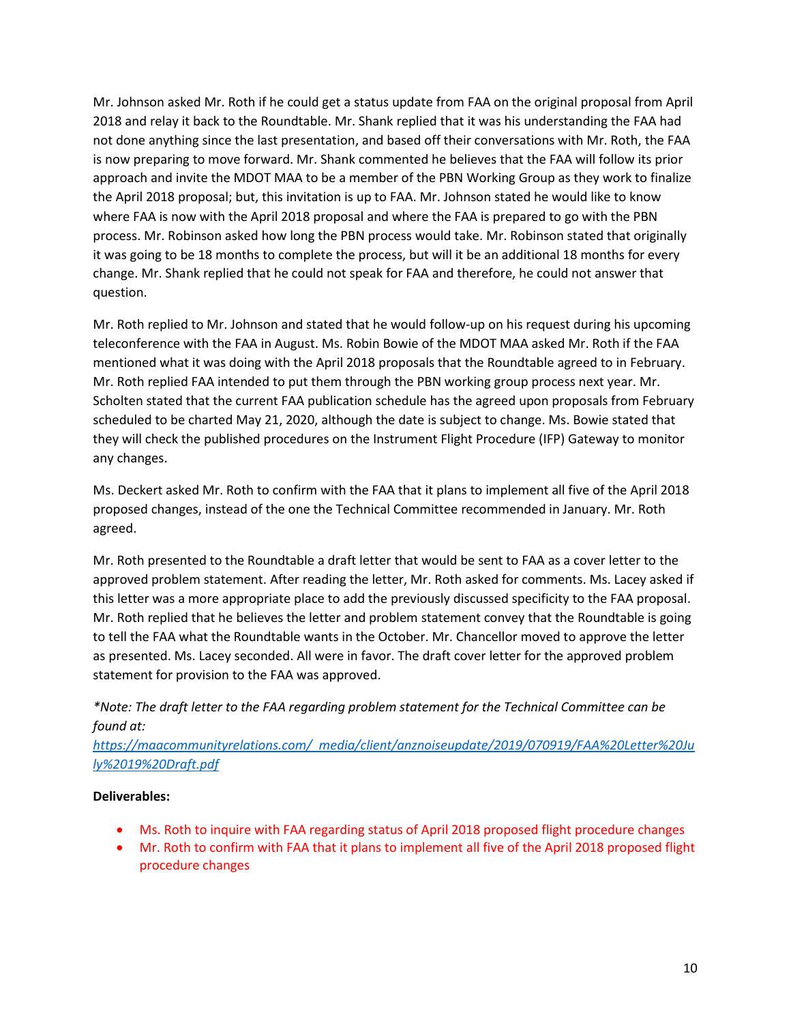Mr. Johnson asked Mr. Roth if he could get a status update from FAA on the original proposal from April 2018 and relay it back to the Roundtable. Mr. Shank replied that it was his understanding the FAA had not done anything since the last presentation, and based off their conversations with Mr. Roth, the FAA is now preparing to move forward. Mr. Shank commented he believes that the FAA will follow its prior approach and invite the MDOT MAA to be a member of the PBN Working Group as they work to finalize the April 2018 proposal; but, this invitation is up to FAA. Mr. Johnson stated he would like to know where FAA is now with the April 2018 proposal and where the FAA is prepared to go with the PBN process. Mr. Robinson asked how long the PBN process would take. Mr. Robinson stated that originally it was going to be 18 months to complete the process, but will it be an additional 18 months for every change. Mr. Shank replied that he could not speak for FAA and therefore, he could not answer that question.

Mr. Roth replied to Mr. Johnson and stated that he would follow-up on his request during his upcoming teleconference with the FAA in August. Ms. Robin Bowie of the MDOT MAA asked Mr. Roth if the FAA mentioned what it was doing with the April 2018 proposals that the Roundtable agreed to in February. Mr. Roth replied FAA intended to put them through the PBN working group process next year. Mr. Scholten stated that the current FAA publication schedule has the agreed upon proposals from February scheduled to be charted May 21, 2020, although the date is subject to change. Ms. Bowie stated that they will check the published procedures on the Instrument Flight Procedure (IFP) Gateway to monitor any changes.

Ms. Deckert asked Mr. Roth to confirm with the FAA that it plans to implement all five of the April 2018 proposed changes, instead of the one the Technical Committee recommended in January. Mr. Roth agreed.

Mr. Roth presented to the Roundtable a draft letter that would be sent to FAA as a cover letter to the approved problem statement. After reading the letter, Mr. Roth asked for comments. Ms. Lacey asked if this letter was a more appropriate place to add the previously discussed specificity to the FAA proposal. Mr. Roth replied that he believes the letter and problem statement convey that the Roundtable is going to tell the FAA what the Roundtable wants in the October. Mr. Chancellor moved to approve the letter as presented. Ms. Lacey seconded. All were in favor. The draft cover letter for the approved problem statement for provision to the FAA was approved.

*\*Note: The draft letter to the FAA regarding problem statement for the Technical Committee can be found at:* 

*[https://maacommunityrelations.com/\\_media/client/anznoiseupdate/2019/070919/FAA%20Letter%20Ju](https://maacommunityrelations.com/_media/client/anznoiseupdate/2019/070919/FAA%20Letter%20July%2019%20Draft.pdf) [ly%2019%20Draft.pdf](https://maacommunityrelations.com/_media/client/anznoiseupdate/2019/070919/FAA%20Letter%20July%2019%20Draft.pdf)*

## **Deliverables:**

- Ms. Roth to inquire with FAA regarding status of April 2018 proposed flight procedure changes
- Mr. Roth to confirm with FAA that it plans to implement all five of the April 2018 proposed flight procedure changes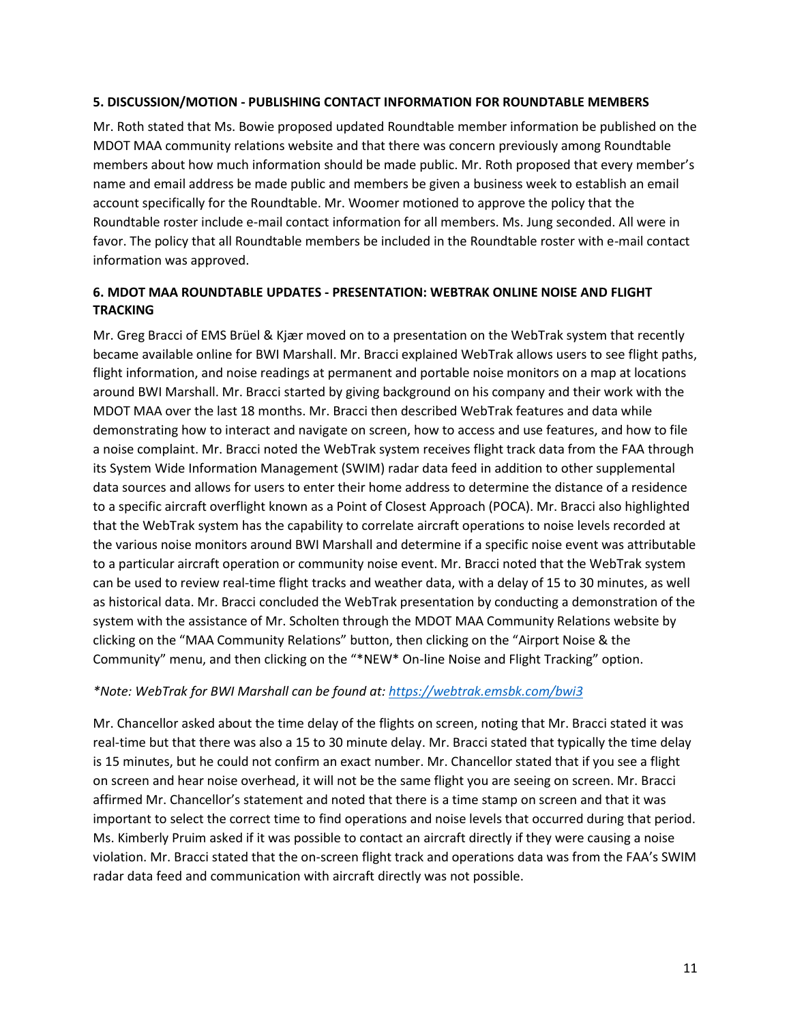#### **5. DISCUSSION/MOTION - PUBLISHING CONTACT INFORMATION FOR ROUNDTABLE MEMBERS**

Mr. Roth stated that Ms. Bowie proposed updated Roundtable member information be published on the MDOT MAA community relations website and that there was concern previously among Roundtable members about how much information should be made public. Mr. Roth proposed that every member's name and email address be made public and members be given a business week to establish an email account specifically for the Roundtable. Mr. Woomer motioned to approve the policy that the Roundtable roster include e-mail contact information for all members. Ms. Jung seconded. All were in favor. The policy that all Roundtable members be included in the Roundtable roster with e-mail contact information was approved.

## **6. MDOT MAA ROUNDTABLE UPDATES - PRESENTATION: WEBTRAK ONLINE NOISE AND FLIGHT TRACKING**

Mr. Greg Bracci of EMS Brüel & Kjær moved on to a presentation on the WebTrak system that recently became available online for BWI Marshall. Mr. Bracci explained WebTrak allows users to see flight paths, flight information, and noise readings at permanent and portable noise monitors on a map at locations around BWI Marshall. Mr. Bracci started by giving background on his company and their work with the MDOT MAA over the last 18 months. Mr. Bracci then described WebTrak features and data while demonstrating how to interact and navigate on screen, how to access and use features, and how to file a noise complaint. Mr. Bracci noted the WebTrak system receives flight track data from the FAA through its System Wide Information Management (SWIM) radar data feed in addition to other supplemental data sources and allows for users to enter their home address to determine the distance of a residence to a specific aircraft overflight known as a Point of Closest Approach (POCA). Mr. Bracci also highlighted that the WebTrak system has the capability to correlate aircraft operations to noise levels recorded at the various noise monitors around BWI Marshall and determine if a specific noise event was attributable to a particular aircraft operation or community noise event. Mr. Bracci noted that the WebTrak system can be used to review real-time flight tracks and weather data, with a delay of 15 to 30 minutes, as well as historical data. Mr. Bracci concluded the WebTrak presentation by conducting a demonstration of the system with the assistance of Mr. Scholten through the MDOT MAA Community Relations website by clicking on the "MAA Community Relations" button, then clicking on the "Airport Noise & the Community" menu, and then clicking on the "\*NEW\* On-line Noise and Flight Tracking" option.

#### *\*Note: WebTrak for BWI Marshall can be found at: <https://webtrak.emsbk.com/bwi3>*

Mr. Chancellor asked about the time delay of the flights on screen, noting that Mr. Bracci stated it was real-time but that there was also a 15 to 30 minute delay. Mr. Bracci stated that typically the time delay is 15 minutes, but he could not confirm an exact number. Mr. Chancellor stated that if you see a flight on screen and hear noise overhead, it will not be the same flight you are seeing on screen. Mr. Bracci affirmed Mr. Chancellor's statement and noted that there is a time stamp on screen and that it was important to select the correct time to find operations and noise levels that occurred during that period. Ms. Kimberly Pruim asked if it was possible to contact an aircraft directly if they were causing a noise violation. Mr. Bracci stated that the on-screen flight track and operations data was from the FAA's SWIM radar data feed and communication with aircraft directly was not possible.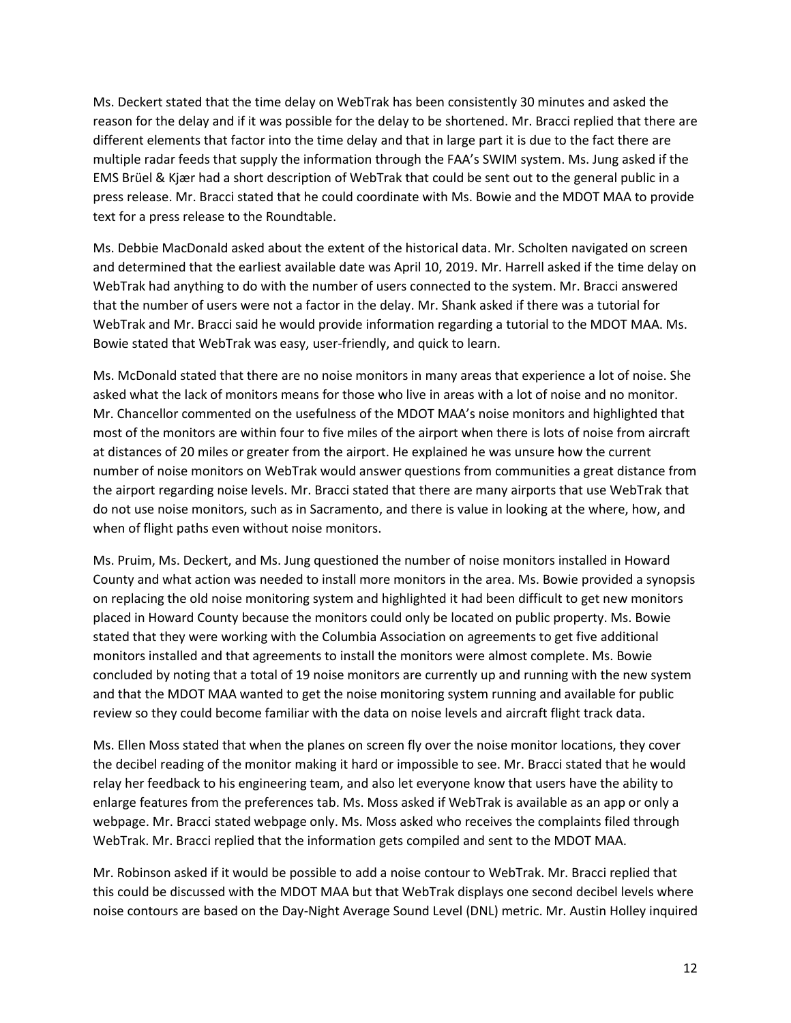Ms. Deckert stated that the time delay on WebTrak has been consistently 30 minutes and asked the reason for the delay and if it was possible for the delay to be shortened. Mr. Bracci replied that there are different elements that factor into the time delay and that in large part it is due to the fact there are multiple radar feeds that supply the information through the FAA's SWIM system. Ms. Jung asked if the EMS Brüel & Kjær had a short description of WebTrak that could be sent out to the general public in a press release. Mr. Bracci stated that he could coordinate with Ms. Bowie and the MDOT MAA to provide text for a press release to the Roundtable.

Ms. Debbie MacDonald asked about the extent of the historical data. Mr. Scholten navigated on screen and determined that the earliest available date was April 10, 2019. Mr. Harrell asked if the time delay on WebTrak had anything to do with the number of users connected to the system. Mr. Bracci answered that the number of users were not a factor in the delay. Mr. Shank asked if there was a tutorial for WebTrak and Mr. Bracci said he would provide information regarding a tutorial to the MDOT MAA. Ms. Bowie stated that WebTrak was easy, user-friendly, and quick to learn.

Ms. McDonald stated that there are no noise monitors in many areas that experience a lot of noise. She asked what the lack of monitors means for those who live in areas with a lot of noise and no monitor. Mr. Chancellor commented on the usefulness of the MDOT MAA's noise monitors and highlighted that most of the monitors are within four to five miles of the airport when there is lots of noise from aircraft at distances of 20 miles or greater from the airport. He explained he was unsure how the current number of noise monitors on WebTrak would answer questions from communities a great distance from the airport regarding noise levels. Mr. Bracci stated that there are many airports that use WebTrak that do not use noise monitors, such as in Sacramento, and there is value in looking at the where, how, and when of flight paths even without noise monitors.

Ms. Pruim, Ms. Deckert, and Ms. Jung questioned the number of noise monitors installed in Howard County and what action was needed to install more monitors in the area. Ms. Bowie provided a synopsis on replacing the old noise monitoring system and highlighted it had been difficult to get new monitors placed in Howard County because the monitors could only be located on public property. Ms. Bowie stated that they were working with the Columbia Association on agreements to get five additional monitors installed and that agreements to install the monitors were almost complete. Ms. Bowie concluded by noting that a total of 19 noise monitors are currently up and running with the new system and that the MDOT MAA wanted to get the noise monitoring system running and available for public review so they could become familiar with the data on noise levels and aircraft flight track data.

Ms. Ellen Moss stated that when the planes on screen fly over the noise monitor locations, they cover the decibel reading of the monitor making it hard or impossible to see. Mr. Bracci stated that he would relay her feedback to his engineering team, and also let everyone know that users have the ability to enlarge features from the preferences tab. Ms. Moss asked if WebTrak is available as an app or only a webpage. Mr. Bracci stated webpage only. Ms. Moss asked who receives the complaints filed through WebTrak. Mr. Bracci replied that the information gets compiled and sent to the MDOT MAA.

Mr. Robinson asked if it would be possible to add a noise contour to WebTrak. Mr. Bracci replied that this could be discussed with the MDOT MAA but that WebTrak displays one second decibel levels where noise contours are based on the Day-Night Average Sound Level (DNL) metric. Mr. Austin Holley inquired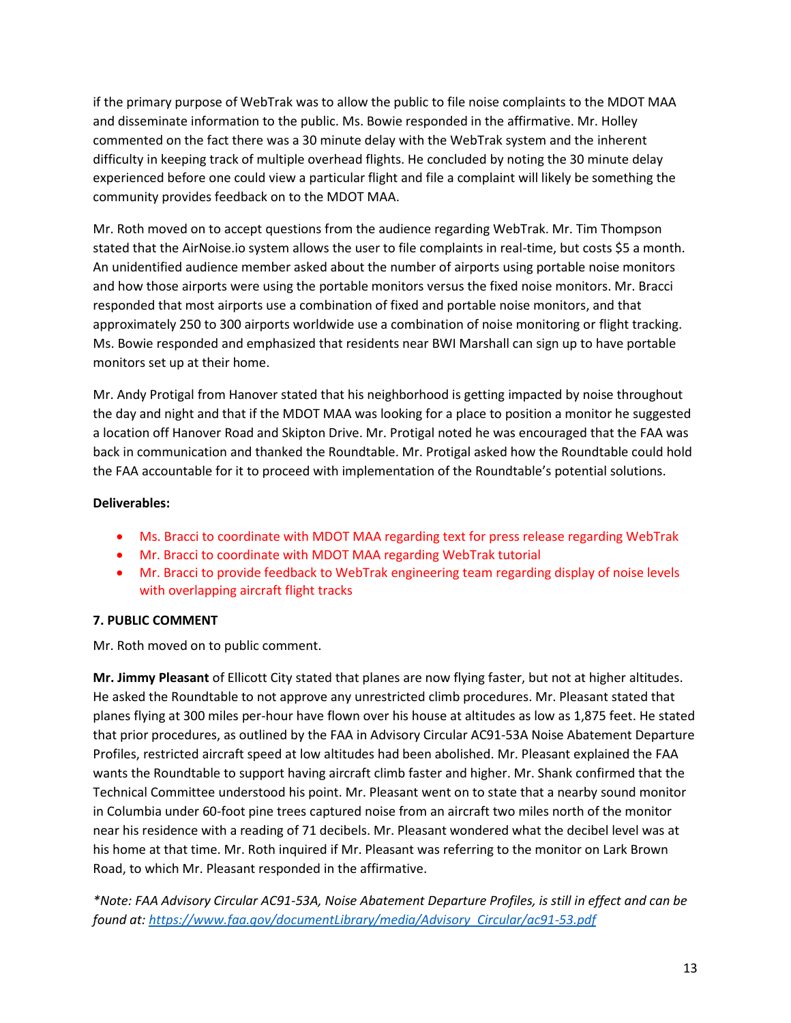if the primary purpose of WebTrak was to allow the public to file noise complaints to the MDOT MAA and disseminate information to the public. Ms. Bowie responded in the affirmative. Mr. Holley commented on the fact there was a 30 minute delay with the WebTrak system and the inherent difficulty in keeping track of multiple overhead flights. He concluded by noting the 30 minute delay experienced before one could view a particular flight and file a complaint will likely be something the community provides feedback on to the MDOT MAA.

Mr. Roth moved on to accept questions from the audience regarding WebTrak. Mr. Tim Thompson stated that the AirNoise.io system allows the user to file complaints in real-time, but costs \$5 a month. An unidentified audience member asked about the number of airports using portable noise monitors and how those airports were using the portable monitors versus the fixed noise monitors. Mr. Bracci responded that most airports use a combination of fixed and portable noise monitors, and that approximately 250 to 300 airports worldwide use a combination of noise monitoring or flight tracking. Ms. Bowie responded and emphasized that residents near BWI Marshall can sign up to have portable monitors set up at their home.

Mr. Andy Protigal from Hanover stated that his neighborhood is getting impacted by noise throughout the day and night and that if the MDOT MAA was looking for a place to position a monitor he suggested a location off Hanover Road and Skipton Drive. Mr. Protigal noted he was encouraged that the FAA was back in communication and thanked the Roundtable. Mr. Protigal asked how the Roundtable could hold the FAA accountable for it to proceed with implementation of the Roundtable's potential solutions.

# **Deliverables:**

- Ms. Bracci to coordinate with MDOT MAA regarding text for press release regarding WebTrak
- Mr. Bracci to coordinate with MDOT MAA regarding WebTrak tutorial
- Mr. Bracci to provide feedback to WebTrak engineering team regarding display of noise levels with overlapping aircraft flight tracks

# **7. PUBLIC COMMENT**

Mr. Roth moved on to public comment.

**Mr. Jimmy Pleasant** of Ellicott City stated that planes are now flying faster, but not at higher altitudes. He asked the Roundtable to not approve any unrestricted climb procedures. Mr. Pleasant stated that planes flying at 300 miles per-hour have flown over his house at altitudes as low as 1,875 feet. He stated that prior procedures, as outlined by the FAA in Advisory Circular AC91-53A Noise Abatement Departure Profiles, restricted aircraft speed at low altitudes had been abolished. Mr. Pleasant explained the FAA wants the Roundtable to support having aircraft climb faster and higher. Mr. Shank confirmed that the Technical Committee understood his point. Mr. Pleasant went on to state that a nearby sound monitor in Columbia under 60-foot pine trees captured noise from an aircraft two miles north of the monitor near his residence with a reading of 71 decibels. Mr. Pleasant wondered what the decibel level was at his home at that time. Mr. Roth inquired if Mr. Pleasant was referring to the monitor on Lark Brown Road, to which Mr. Pleasant responded in the affirmative.

*\*Note: FAA Advisory Circular AC91-53A, Noise Abatement Departure Profiles, is still in effect and can be found at: [https://www.faa.gov/documentLibrary/media/Advisory\\_Circular/ac91-53.pdf](https://www.faa.gov/documentLibrary/media/Advisory_Circular/ac91-53.pdf)*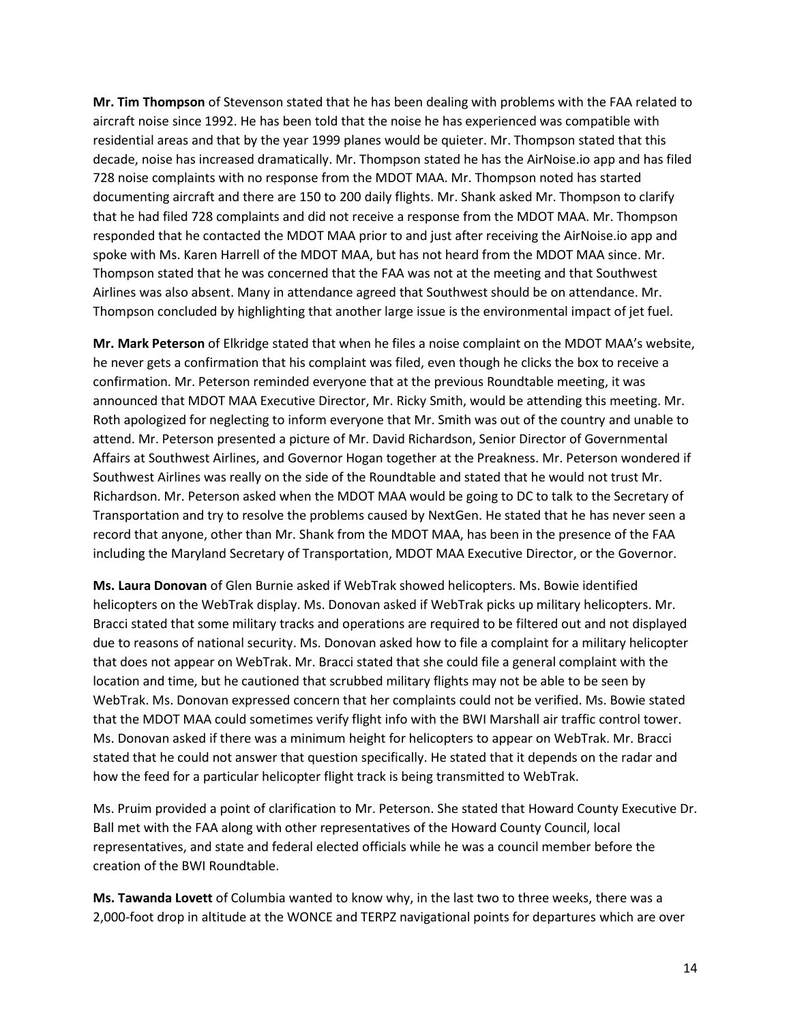**Mr. Tim Thompson** of Stevenson stated that he has been dealing with problems with the FAA related to aircraft noise since 1992. He has been told that the noise he has experienced was compatible with residential areas and that by the year 1999 planes would be quieter. Mr. Thompson stated that this decade, noise has increased dramatically. Mr. Thompson stated he has the AirNoise.io app and has filed 728 noise complaints with no response from the MDOT MAA. Mr. Thompson noted has started documenting aircraft and there are 150 to 200 daily flights. Mr. Shank asked Mr. Thompson to clarify that he had filed 728 complaints and did not receive a response from the MDOT MAA. Mr. Thompson responded that he contacted the MDOT MAA prior to and just after receiving the AirNoise.io app and spoke with Ms. Karen Harrell of the MDOT MAA, but has not heard from the MDOT MAA since. Mr. Thompson stated that he was concerned that the FAA was not at the meeting and that Southwest Airlines was also absent. Many in attendance agreed that Southwest should be on attendance. Mr. Thompson concluded by highlighting that another large issue is the environmental impact of jet fuel.

**Mr. Mark Peterson** of Elkridge stated that when he files a noise complaint on the MDOT MAA's website, he never gets a confirmation that his complaint was filed, even though he clicks the box to receive a confirmation. Mr. Peterson reminded everyone that at the previous Roundtable meeting, it was announced that MDOT MAA Executive Director, Mr. Ricky Smith, would be attending this meeting. Mr. Roth apologized for neglecting to inform everyone that Mr. Smith was out of the country and unable to attend. Mr. Peterson presented a picture of Mr. David Richardson, Senior Director of Governmental Affairs at Southwest Airlines, and Governor Hogan together at the Preakness. Mr. Peterson wondered if Southwest Airlines was really on the side of the Roundtable and stated that he would not trust Mr. Richardson. Mr. Peterson asked when the MDOT MAA would be going to DC to talk to the Secretary of Transportation and try to resolve the problems caused by NextGen. He stated that he has never seen a record that anyone, other than Mr. Shank from the MDOT MAA, has been in the presence of the FAA including the Maryland Secretary of Transportation, MDOT MAA Executive Director, or the Governor.

**Ms. Laura Donovan** of Glen Burnie asked if WebTrak showed helicopters. Ms. Bowie identified helicopters on the WebTrak display. Ms. Donovan asked if WebTrak picks up military helicopters. Mr. Bracci stated that some military tracks and operations are required to be filtered out and not displayed due to reasons of national security. Ms. Donovan asked how to file a complaint for a military helicopter that does not appear on WebTrak. Mr. Bracci stated that she could file a general complaint with the location and time, but he cautioned that scrubbed military flights may not be able to be seen by WebTrak. Ms. Donovan expressed concern that her complaints could not be verified. Ms. Bowie stated that the MDOT MAA could sometimes verify flight info with the BWI Marshall air traffic control tower. Ms. Donovan asked if there was a minimum height for helicopters to appear on WebTrak. Mr. Bracci stated that he could not answer that question specifically. He stated that it depends on the radar and how the feed for a particular helicopter flight track is being transmitted to WebTrak.

Ms. Pruim provided a point of clarification to Mr. Peterson. She stated that Howard County Executive Dr. Ball met with the FAA along with other representatives of the Howard County Council, local representatives, and state and federal elected officials while he was a council member before the creation of the BWI Roundtable.

**Ms. Tawanda Lovett** of Columbia wanted to know why, in the last two to three weeks, there was a 2,000-foot drop in altitude at the WONCE and TERPZ navigational points for departures which are over